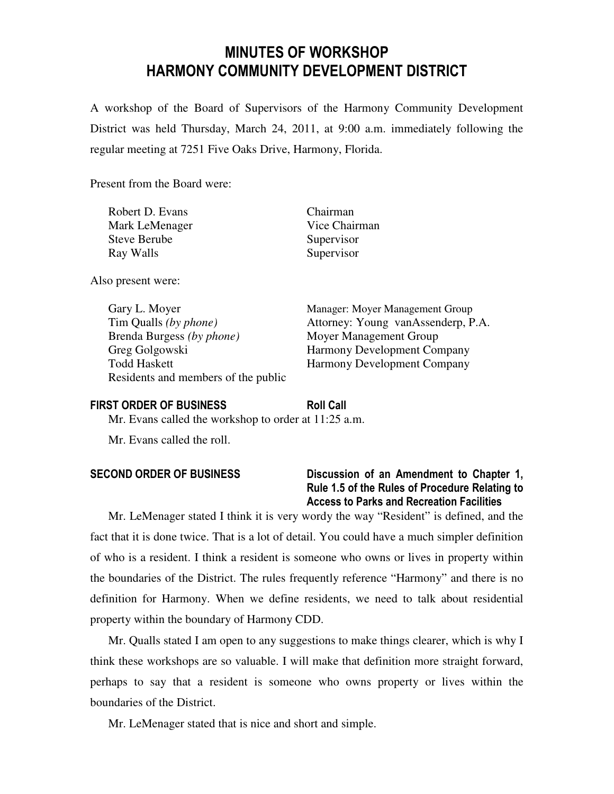# MINUTES OF WORKSHOP HARMONY COMMUNITY DEVELOPMENT DISTRICT

A workshop of the Board of Supervisors of the Harmony Community Development District was held Thursday, March 24, 2011, at 9:00 a.m. immediately following the regular meeting at 7251 Five Oaks Drive, Harmony, Florida.

Present from the Board were:

| Robert D. Evans     | Chairman      |
|---------------------|---------------|
| Mark LeMenager      | Vice Chairman |
| <b>Steve Berube</b> | Supervisor    |
| Ray Walls           | Supervisor    |

Also present were:

Gary L. Moyer Manager: Moyer Management Group Brenda Burgess *(by phone)* Moyer Management Group Greg Golgowski Harmony Development Company Todd Haskett Harmony Development Company Residents and members of the public

Tim Qualls *(by phone)* Attorney: Young vanAssenderp, P.A.

### FIRST ORDER OF BUSINESS Roll Call

Mr. Evans called the workshop to order at 11:25 a.m.

Mr. Evans called the roll.

## SECOND ORDER OF BUSINESS Discussion of an Amendment to Chapter 1, Rule 1.5 of the Rules of Procedure Relating to Access to Parks and Recreation Facilities

Mr. LeMenager stated I think it is very wordy the way "Resident" is defined, and the fact that it is done twice. That is a lot of detail. You could have a much simpler definition of who is a resident. I think a resident is someone who owns or lives in property within the boundaries of the District. The rules frequently reference "Harmony" and there is no definition for Harmony. When we define residents, we need to talk about residential property within the boundary of Harmony CDD.

Mr. Qualls stated I am open to any suggestions to make things clearer, which is why I think these workshops are so valuable. I will make that definition more straight forward, perhaps to say that a resident is someone who owns property or lives within the boundaries of the District.

Mr. LeMenager stated that is nice and short and simple.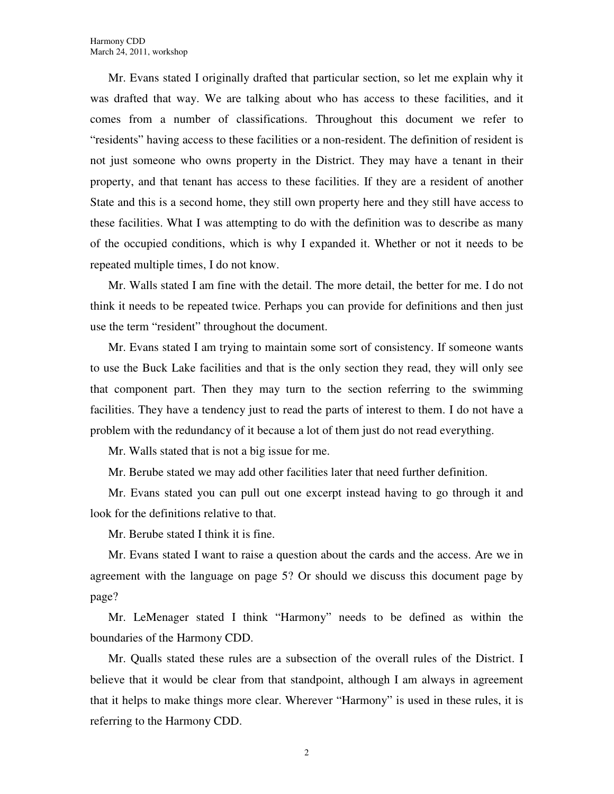Mr. Evans stated I originally drafted that particular section, so let me explain why it was drafted that way. We are talking about who has access to these facilities, and it comes from a number of classifications. Throughout this document we refer to "residents" having access to these facilities or a non-resident. The definition of resident is not just someone who owns property in the District. They may have a tenant in their property, and that tenant has access to these facilities. If they are a resident of another State and this is a second home, they still own property here and they still have access to these facilities. What I was attempting to do with the definition was to describe as many of the occupied conditions, which is why I expanded it. Whether or not it needs to be repeated multiple times, I do not know.

Mr. Walls stated I am fine with the detail. The more detail, the better for me. I do not think it needs to be repeated twice. Perhaps you can provide for definitions and then just use the term "resident" throughout the document.

Mr. Evans stated I am trying to maintain some sort of consistency. If someone wants to use the Buck Lake facilities and that is the only section they read, they will only see that component part. Then they may turn to the section referring to the swimming facilities. They have a tendency just to read the parts of interest to them. I do not have a problem with the redundancy of it because a lot of them just do not read everything.

Mr. Walls stated that is not a big issue for me.

Mr. Berube stated we may add other facilities later that need further definition.

Mr. Evans stated you can pull out one excerpt instead having to go through it and look for the definitions relative to that.

Mr. Berube stated I think it is fine.

Mr. Evans stated I want to raise a question about the cards and the access. Are we in agreement with the language on page 5? Or should we discuss this document page by page?

Mr. LeMenager stated I think "Harmony" needs to be defined as within the boundaries of the Harmony CDD.

Mr. Qualls stated these rules are a subsection of the overall rules of the District. I believe that it would be clear from that standpoint, although I am always in agreement that it helps to make things more clear. Wherever "Harmony" is used in these rules, it is referring to the Harmony CDD.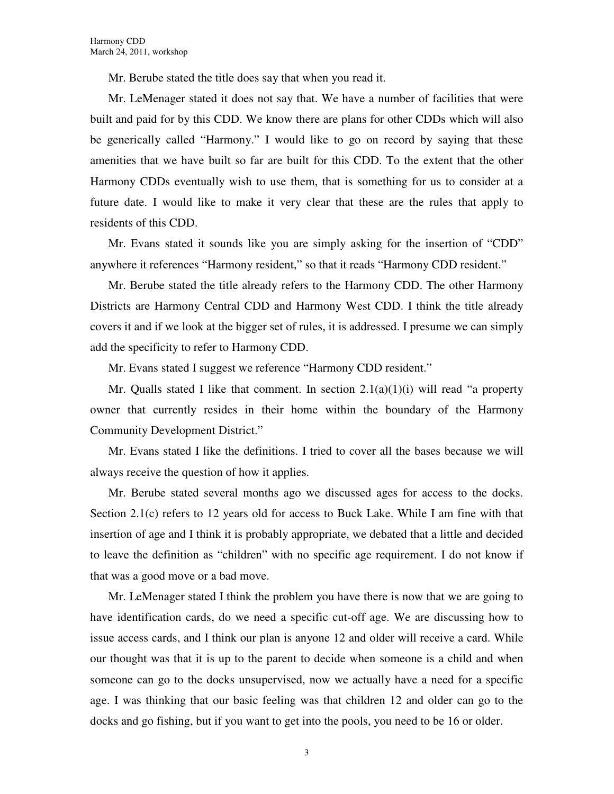Mr. Berube stated the title does say that when you read it.

Mr. LeMenager stated it does not say that. We have a number of facilities that were built and paid for by this CDD. We know there are plans for other CDDs which will also be generically called "Harmony." I would like to go on record by saying that these amenities that we have built so far are built for this CDD. To the extent that the other Harmony CDDs eventually wish to use them, that is something for us to consider at a future date. I would like to make it very clear that these are the rules that apply to residents of this CDD.

Mr. Evans stated it sounds like you are simply asking for the insertion of "CDD" anywhere it references "Harmony resident," so that it reads "Harmony CDD resident."

Mr. Berube stated the title already refers to the Harmony CDD. The other Harmony Districts are Harmony Central CDD and Harmony West CDD. I think the title already covers it and if we look at the bigger set of rules, it is addressed. I presume we can simply add the specificity to refer to Harmony CDD.

Mr. Evans stated I suggest we reference "Harmony CDD resident."

Mr. Qualls stated I like that comment. In section  $2.1(a)(1)(i)$  will read "a property owner that currently resides in their home within the boundary of the Harmony Community Development District."

Mr. Evans stated I like the definitions. I tried to cover all the bases because we will always receive the question of how it applies.

Mr. Berube stated several months ago we discussed ages for access to the docks. Section 2.1(c) refers to 12 years old for access to Buck Lake. While I am fine with that insertion of age and I think it is probably appropriate, we debated that a little and decided to leave the definition as "children" with no specific age requirement. I do not know if that was a good move or a bad move.

Mr. LeMenager stated I think the problem you have there is now that we are going to have identification cards, do we need a specific cut-off age. We are discussing how to issue access cards, and I think our plan is anyone 12 and older will receive a card. While our thought was that it is up to the parent to decide when someone is a child and when someone can go to the docks unsupervised, now we actually have a need for a specific age. I was thinking that our basic feeling was that children 12 and older can go to the docks and go fishing, but if you want to get into the pools, you need to be 16 or older.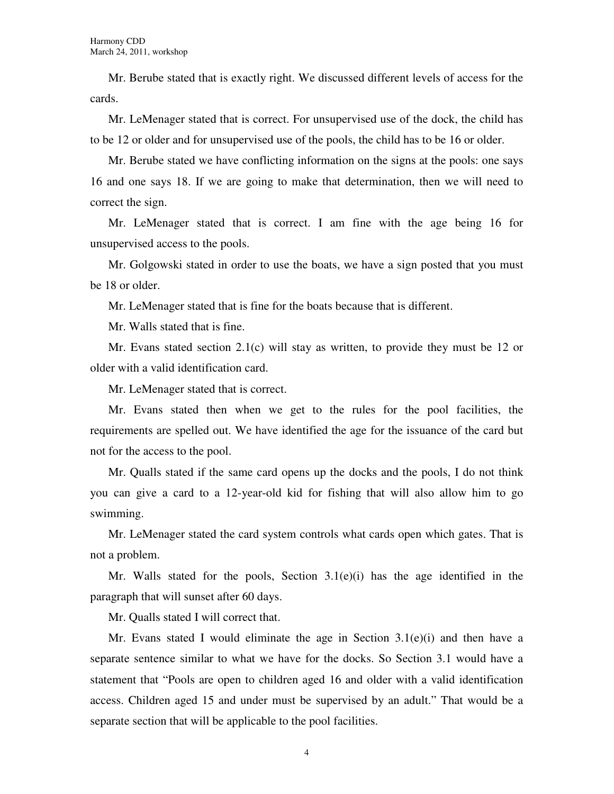Mr. Berube stated that is exactly right. We discussed different levels of access for the cards.

Mr. LeMenager stated that is correct. For unsupervised use of the dock, the child has to be 12 or older and for unsupervised use of the pools, the child has to be 16 or older.

Mr. Berube stated we have conflicting information on the signs at the pools: one says 16 and one says 18. If we are going to make that determination, then we will need to correct the sign.

Mr. LeMenager stated that is correct. I am fine with the age being 16 for unsupervised access to the pools.

Mr. Golgowski stated in order to use the boats, we have a sign posted that you must be 18 or older.

Mr. LeMenager stated that is fine for the boats because that is different.

Mr. Walls stated that is fine.

Mr. Evans stated section 2.1(c) will stay as written, to provide they must be 12 or older with a valid identification card.

Mr. LeMenager stated that is correct.

Mr. Evans stated then when we get to the rules for the pool facilities, the requirements are spelled out. We have identified the age for the issuance of the card but not for the access to the pool.

Mr. Qualls stated if the same card opens up the docks and the pools, I do not think you can give a card to a 12-year-old kid for fishing that will also allow him to go swimming.

Mr. LeMenager stated the card system controls what cards open which gates. That is not a problem.

Mr. Walls stated for the pools, Section  $3.1(e)(i)$  has the age identified in the paragraph that will sunset after 60 days.

Mr. Qualls stated I will correct that.

Mr. Evans stated I would eliminate the age in Section  $3.1(e)(i)$  and then have a separate sentence similar to what we have for the docks. So Section 3.1 would have a statement that "Pools are open to children aged 16 and older with a valid identification access. Children aged 15 and under must be supervised by an adult." That would be a separate section that will be applicable to the pool facilities.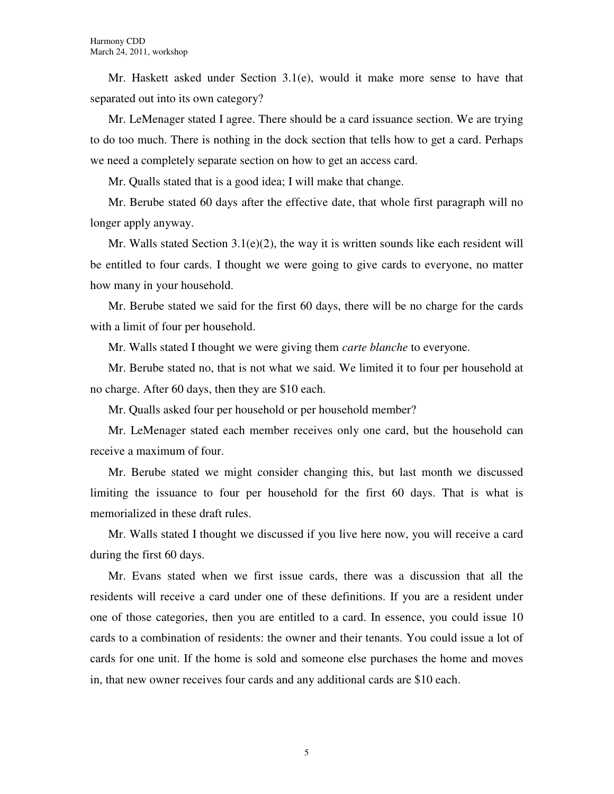Mr. Haskett asked under Section 3.1(e), would it make more sense to have that separated out into its own category?

Mr. LeMenager stated I agree. There should be a card issuance section. We are trying to do too much. There is nothing in the dock section that tells how to get a card. Perhaps we need a completely separate section on how to get an access card.

Mr. Qualls stated that is a good idea; I will make that change.

Mr. Berube stated 60 days after the effective date, that whole first paragraph will no longer apply anyway.

Mr. Walls stated Section 3.1(e)(2), the way it is written sounds like each resident will be entitled to four cards. I thought we were going to give cards to everyone, no matter how many in your household.

Mr. Berube stated we said for the first 60 days, there will be no charge for the cards with a limit of four per household.

Mr. Walls stated I thought we were giving them *carte blanche* to everyone.

Mr. Berube stated no, that is not what we said. We limited it to four per household at no charge. After 60 days, then they are \$10 each.

Mr. Qualls asked four per household or per household member?

Mr. LeMenager stated each member receives only one card, but the household can receive a maximum of four.

Mr. Berube stated we might consider changing this, but last month we discussed limiting the issuance to four per household for the first 60 days. That is what is memorialized in these draft rules.

Mr. Walls stated I thought we discussed if you live here now, you will receive a card during the first 60 days.

Mr. Evans stated when we first issue cards, there was a discussion that all the residents will receive a card under one of these definitions. If you are a resident under one of those categories, then you are entitled to a card. In essence, you could issue 10 cards to a combination of residents: the owner and their tenants. You could issue a lot of cards for one unit. If the home is sold and someone else purchases the home and moves in, that new owner receives four cards and any additional cards are \$10 each.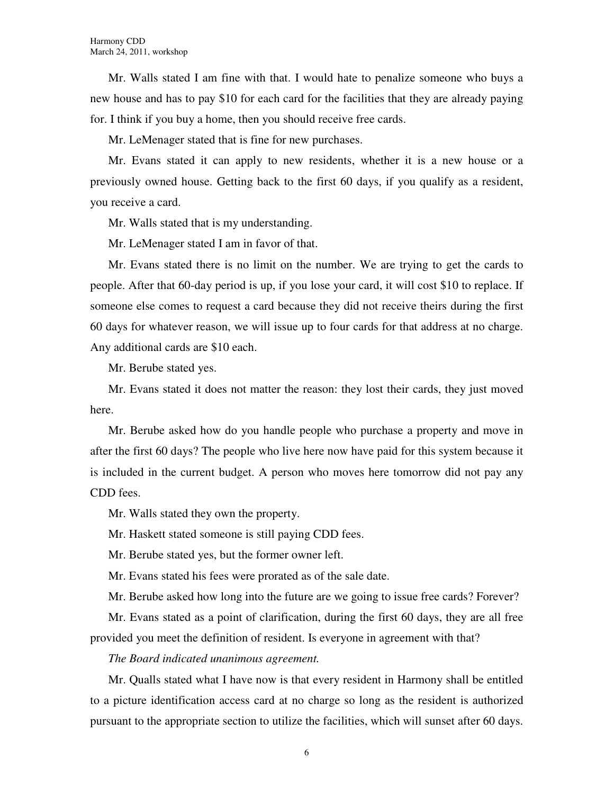Mr. Walls stated I am fine with that. I would hate to penalize someone who buys a new house and has to pay \$10 for each card for the facilities that they are already paying for. I think if you buy a home, then you should receive free cards.

Mr. LeMenager stated that is fine for new purchases.

Mr. Evans stated it can apply to new residents, whether it is a new house or a previously owned house. Getting back to the first 60 days, if you qualify as a resident, you receive a card.

Mr. Walls stated that is my understanding.

Mr. LeMenager stated I am in favor of that.

Mr. Evans stated there is no limit on the number. We are trying to get the cards to people. After that 60-day period is up, if you lose your card, it will cost \$10 to replace. If someone else comes to request a card because they did not receive theirs during the first 60 days for whatever reason, we will issue up to four cards for that address at no charge. Any additional cards are \$10 each.

Mr. Berube stated yes.

Mr. Evans stated it does not matter the reason: they lost their cards, they just moved here.

Mr. Berube asked how do you handle people who purchase a property and move in after the first 60 days? The people who live here now have paid for this system because it is included in the current budget. A person who moves here tomorrow did not pay any CDD fees.

Mr. Walls stated they own the property.

Mr. Haskett stated someone is still paying CDD fees.

Mr. Berube stated yes, but the former owner left.

Mr. Evans stated his fees were prorated as of the sale date.

Mr. Berube asked how long into the future are we going to issue free cards? Forever?

Mr. Evans stated as a point of clarification, during the first 60 days, they are all free provided you meet the definition of resident. Is everyone in agreement with that?

*The Board indicated unanimous agreement.* 

Mr. Qualls stated what I have now is that every resident in Harmony shall be entitled to a picture identification access card at no charge so long as the resident is authorized pursuant to the appropriate section to utilize the facilities, which will sunset after 60 days.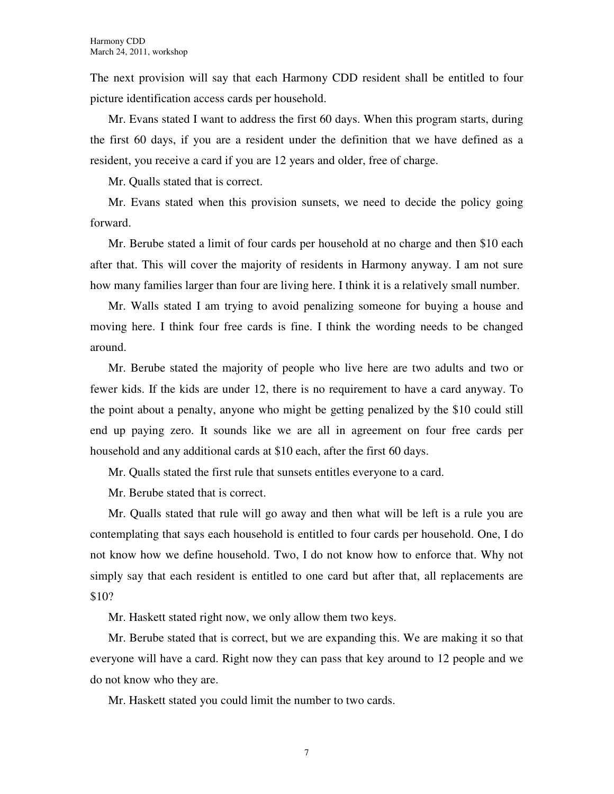The next provision will say that each Harmony CDD resident shall be entitled to four picture identification access cards per household.

Mr. Evans stated I want to address the first 60 days. When this program starts, during the first 60 days, if you are a resident under the definition that we have defined as a resident, you receive a card if you are 12 years and older, free of charge.

Mr. Qualls stated that is correct.

Mr. Evans stated when this provision sunsets, we need to decide the policy going forward.

Mr. Berube stated a limit of four cards per household at no charge and then \$10 each after that. This will cover the majority of residents in Harmony anyway. I am not sure how many families larger than four are living here. I think it is a relatively small number.

Mr. Walls stated I am trying to avoid penalizing someone for buying a house and moving here. I think four free cards is fine. I think the wording needs to be changed around.

Mr. Berube stated the majority of people who live here are two adults and two or fewer kids. If the kids are under 12, there is no requirement to have a card anyway. To the point about a penalty, anyone who might be getting penalized by the \$10 could still end up paying zero. It sounds like we are all in agreement on four free cards per household and any additional cards at \$10 each, after the first 60 days.

Mr. Qualls stated the first rule that sunsets entitles everyone to a card.

Mr. Berube stated that is correct.

Mr. Qualls stated that rule will go away and then what will be left is a rule you are contemplating that says each household is entitled to four cards per household. One, I do not know how we define household. Two, I do not know how to enforce that. Why not simply say that each resident is entitled to one card but after that, all replacements are \$10?

Mr. Haskett stated right now, we only allow them two keys.

Mr. Berube stated that is correct, but we are expanding this. We are making it so that everyone will have a card. Right now they can pass that key around to 12 people and we do not know who they are.

Mr. Haskett stated you could limit the number to two cards.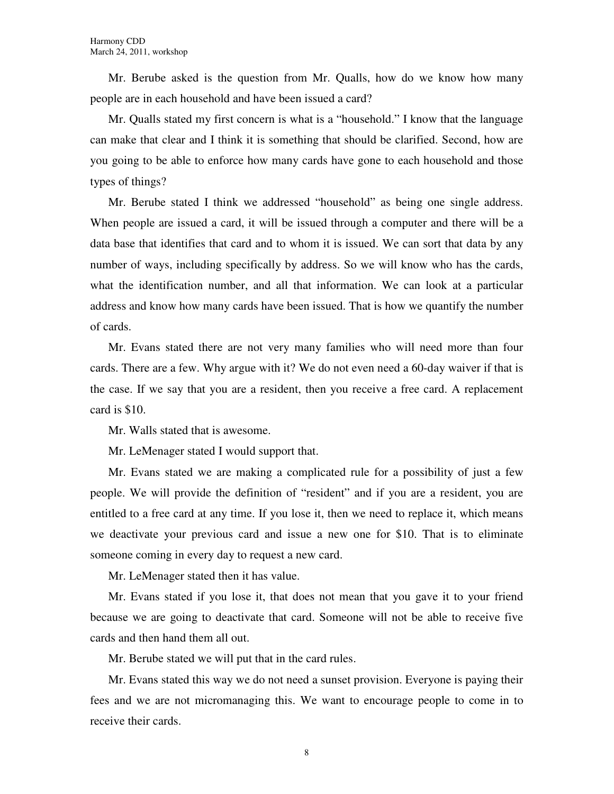Mr. Berube asked is the question from Mr. Qualls, how do we know how many people are in each household and have been issued a card?

Mr. Qualls stated my first concern is what is a "household." I know that the language can make that clear and I think it is something that should be clarified. Second, how are you going to be able to enforce how many cards have gone to each household and those types of things?

Mr. Berube stated I think we addressed "household" as being one single address. When people are issued a card, it will be issued through a computer and there will be a data base that identifies that card and to whom it is issued. We can sort that data by any number of ways, including specifically by address. So we will know who has the cards, what the identification number, and all that information. We can look at a particular address and know how many cards have been issued. That is how we quantify the number of cards.

Mr. Evans stated there are not very many families who will need more than four cards. There are a few. Why argue with it? We do not even need a 60-day waiver if that is the case. If we say that you are a resident, then you receive a free card. A replacement card is \$10.

Mr. Walls stated that is awesome.

Mr. LeMenager stated I would support that.

Mr. Evans stated we are making a complicated rule for a possibility of just a few people. We will provide the definition of "resident" and if you are a resident, you are entitled to a free card at any time. If you lose it, then we need to replace it, which means we deactivate your previous card and issue a new one for \$10. That is to eliminate someone coming in every day to request a new card.

Mr. LeMenager stated then it has value.

Mr. Evans stated if you lose it, that does not mean that you gave it to your friend because we are going to deactivate that card. Someone will not be able to receive five cards and then hand them all out.

Mr. Berube stated we will put that in the card rules.

Mr. Evans stated this way we do not need a sunset provision. Everyone is paying their fees and we are not micromanaging this. We want to encourage people to come in to receive their cards.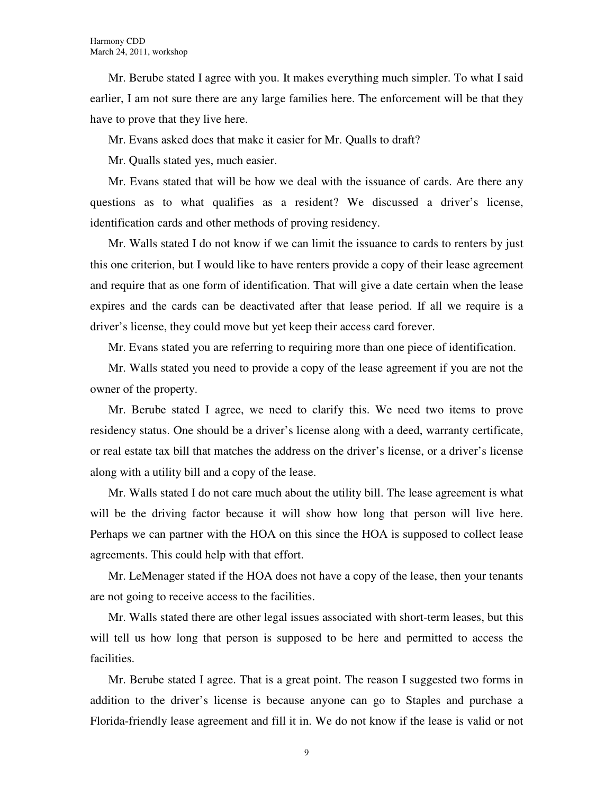Mr. Berube stated I agree with you. It makes everything much simpler. To what I said earlier, I am not sure there are any large families here. The enforcement will be that they have to prove that they live here.

Mr. Evans asked does that make it easier for Mr. Qualls to draft?

Mr. Qualls stated yes, much easier.

Mr. Evans stated that will be how we deal with the issuance of cards. Are there any questions as to what qualifies as a resident? We discussed a driver's license, identification cards and other methods of proving residency.

Mr. Walls stated I do not know if we can limit the issuance to cards to renters by just this one criterion, but I would like to have renters provide a copy of their lease agreement and require that as one form of identification. That will give a date certain when the lease expires and the cards can be deactivated after that lease period. If all we require is a driver's license, they could move but yet keep their access card forever.

Mr. Evans stated you are referring to requiring more than one piece of identification.

Mr. Walls stated you need to provide a copy of the lease agreement if you are not the owner of the property.

Mr. Berube stated I agree, we need to clarify this. We need two items to prove residency status. One should be a driver's license along with a deed, warranty certificate, or real estate tax bill that matches the address on the driver's license, or a driver's license along with a utility bill and a copy of the lease.

Mr. Walls stated I do not care much about the utility bill. The lease agreement is what will be the driving factor because it will show how long that person will live here. Perhaps we can partner with the HOA on this since the HOA is supposed to collect lease agreements. This could help with that effort.

Mr. LeMenager stated if the HOA does not have a copy of the lease, then your tenants are not going to receive access to the facilities.

Mr. Walls stated there are other legal issues associated with short-term leases, but this will tell us how long that person is supposed to be here and permitted to access the facilities.

Mr. Berube stated I agree. That is a great point. The reason I suggested two forms in addition to the driver's license is because anyone can go to Staples and purchase a Florida-friendly lease agreement and fill it in. We do not know if the lease is valid or not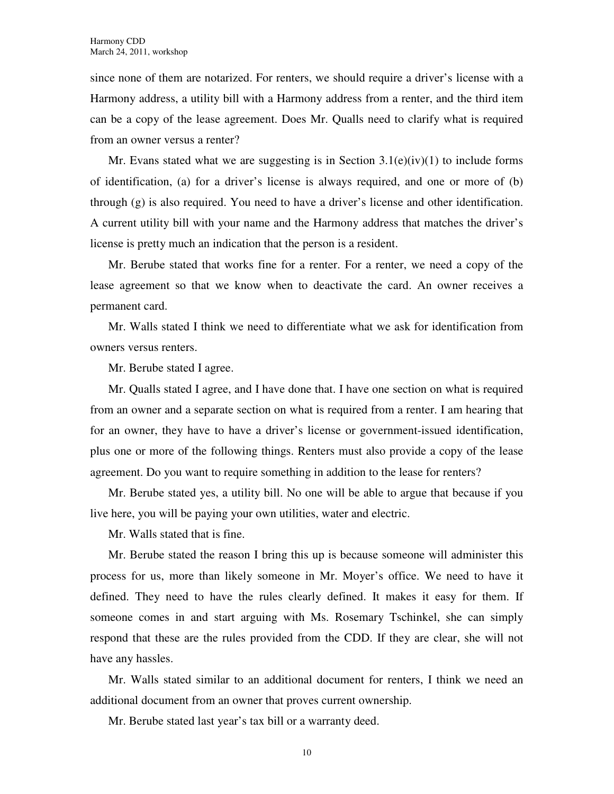since none of them are notarized. For renters, we should require a driver's license with a Harmony address, a utility bill with a Harmony address from a renter, and the third item can be a copy of the lease agreement. Does Mr. Qualls need to clarify what is required from an owner versus a renter?

Mr. Evans stated what we are suggesting is in Section  $3.1(e)(iv)(1)$  to include forms of identification, (a) for a driver's license is always required, and one or more of (b) through (g) is also required. You need to have a driver's license and other identification. A current utility bill with your name and the Harmony address that matches the driver's license is pretty much an indication that the person is a resident.

Mr. Berube stated that works fine for a renter. For a renter, we need a copy of the lease agreement so that we know when to deactivate the card. An owner receives a permanent card.

Mr. Walls stated I think we need to differentiate what we ask for identification from owners versus renters.

Mr. Berube stated I agree.

Mr. Qualls stated I agree, and I have done that. I have one section on what is required from an owner and a separate section on what is required from a renter. I am hearing that for an owner, they have to have a driver's license or government-issued identification, plus one or more of the following things. Renters must also provide a copy of the lease agreement. Do you want to require something in addition to the lease for renters?

Mr. Berube stated yes, a utility bill. No one will be able to argue that because if you live here, you will be paying your own utilities, water and electric.

Mr. Walls stated that is fine.

Mr. Berube stated the reason I bring this up is because someone will administer this process for us, more than likely someone in Mr. Moyer's office. We need to have it defined. They need to have the rules clearly defined. It makes it easy for them. If someone comes in and start arguing with Ms. Rosemary Tschinkel, she can simply respond that these are the rules provided from the CDD. If they are clear, she will not have any hassles.

Mr. Walls stated similar to an additional document for renters, I think we need an additional document from an owner that proves current ownership.

Mr. Berube stated last year's tax bill or a warranty deed.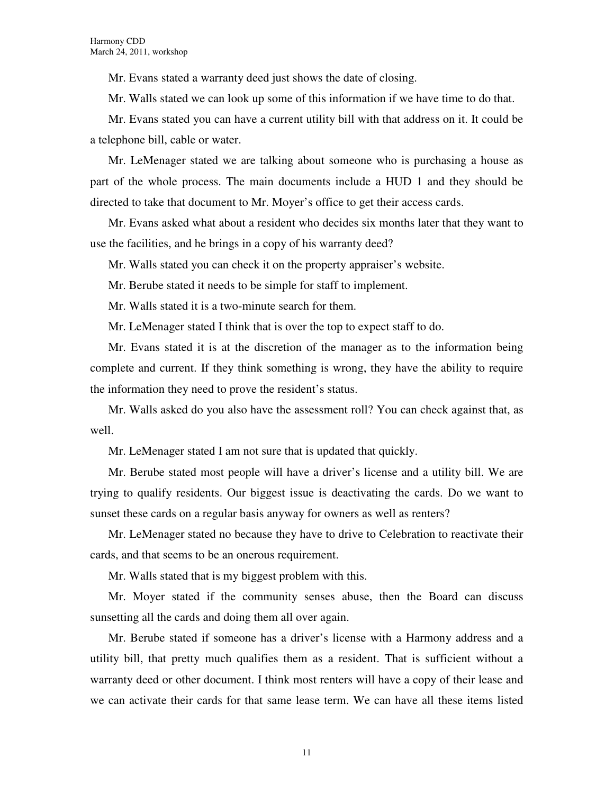Mr. Evans stated a warranty deed just shows the date of closing.

Mr. Walls stated we can look up some of this information if we have time to do that.

Mr. Evans stated you can have a current utility bill with that address on it. It could be a telephone bill, cable or water.

Mr. LeMenager stated we are talking about someone who is purchasing a house as part of the whole process. The main documents include a HUD 1 and they should be directed to take that document to Mr. Moyer's office to get their access cards.

Mr. Evans asked what about a resident who decides six months later that they want to use the facilities, and he brings in a copy of his warranty deed?

Mr. Walls stated you can check it on the property appraiser's website.

Mr. Berube stated it needs to be simple for staff to implement.

Mr. Walls stated it is a two-minute search for them.

Mr. LeMenager stated I think that is over the top to expect staff to do.

Mr. Evans stated it is at the discretion of the manager as to the information being complete and current. If they think something is wrong, they have the ability to require the information they need to prove the resident's status.

Mr. Walls asked do you also have the assessment roll? You can check against that, as well.

Mr. LeMenager stated I am not sure that is updated that quickly.

Mr. Berube stated most people will have a driver's license and a utility bill. We are trying to qualify residents. Our biggest issue is deactivating the cards. Do we want to sunset these cards on a regular basis anyway for owners as well as renters?

Mr. LeMenager stated no because they have to drive to Celebration to reactivate their cards, and that seems to be an onerous requirement.

Mr. Walls stated that is my biggest problem with this.

Mr. Moyer stated if the community senses abuse, then the Board can discuss sunsetting all the cards and doing them all over again.

Mr. Berube stated if someone has a driver's license with a Harmony address and a utility bill, that pretty much qualifies them as a resident. That is sufficient without a warranty deed or other document. I think most renters will have a copy of their lease and we can activate their cards for that same lease term. We can have all these items listed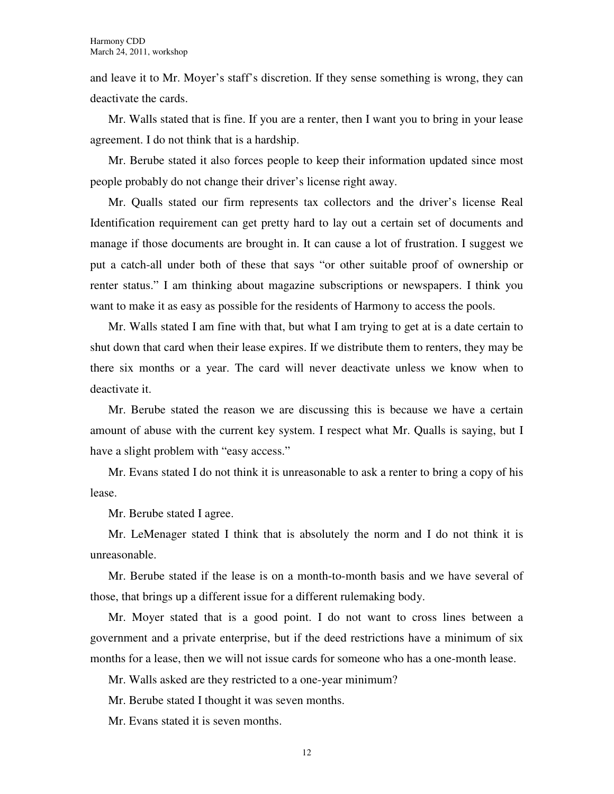and leave it to Mr. Moyer's staff's discretion. If they sense something is wrong, they can deactivate the cards.

Mr. Walls stated that is fine. If you are a renter, then I want you to bring in your lease agreement. I do not think that is a hardship.

Mr. Berube stated it also forces people to keep their information updated since most people probably do not change their driver's license right away.

Mr. Qualls stated our firm represents tax collectors and the driver's license Real Identification requirement can get pretty hard to lay out a certain set of documents and manage if those documents are brought in. It can cause a lot of frustration. I suggest we put a catch-all under both of these that says "or other suitable proof of ownership or renter status." I am thinking about magazine subscriptions or newspapers. I think you want to make it as easy as possible for the residents of Harmony to access the pools.

Mr. Walls stated I am fine with that, but what I am trying to get at is a date certain to shut down that card when their lease expires. If we distribute them to renters, they may be there six months or a year. The card will never deactivate unless we know when to deactivate it.

Mr. Berube stated the reason we are discussing this is because we have a certain amount of abuse with the current key system. I respect what Mr. Qualls is saying, but I have a slight problem with "easy access."

Mr. Evans stated I do not think it is unreasonable to ask a renter to bring a copy of his lease.

Mr. Berube stated I agree.

Mr. LeMenager stated I think that is absolutely the norm and I do not think it is unreasonable.

Mr. Berube stated if the lease is on a month-to-month basis and we have several of those, that brings up a different issue for a different rulemaking body.

Mr. Moyer stated that is a good point. I do not want to cross lines between a government and a private enterprise, but if the deed restrictions have a minimum of six months for a lease, then we will not issue cards for someone who has a one-month lease.

Mr. Walls asked are they restricted to a one-year minimum?

Mr. Berube stated I thought it was seven months.

Mr. Evans stated it is seven months.

12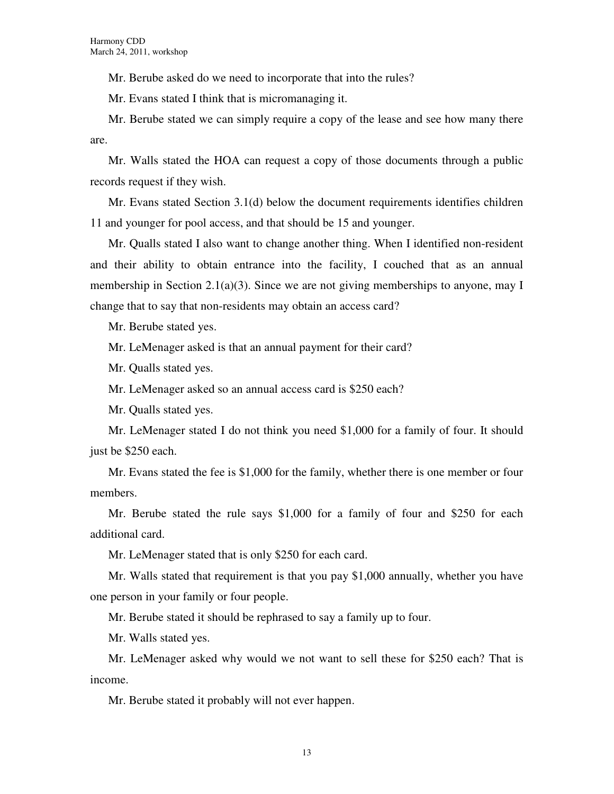Mr. Berube asked do we need to incorporate that into the rules?

Mr. Evans stated I think that is micromanaging it.

Mr. Berube stated we can simply require a copy of the lease and see how many there are.

Mr. Walls stated the HOA can request a copy of those documents through a public records request if they wish.

Mr. Evans stated Section 3.1(d) below the document requirements identifies children 11 and younger for pool access, and that should be 15 and younger.

Mr. Qualls stated I also want to change another thing. When I identified non-resident and their ability to obtain entrance into the facility, I couched that as an annual membership in Section 2.1(a)(3). Since we are not giving memberships to anyone, may I change that to say that non-residents may obtain an access card?

Mr. Berube stated yes.

Mr. LeMenager asked is that an annual payment for their card?

Mr. Qualls stated yes.

Mr. LeMenager asked so an annual access card is \$250 each?

Mr. Qualls stated yes.

Mr. LeMenager stated I do not think you need \$1,000 for a family of four. It should just be \$250 each.

Mr. Evans stated the fee is \$1,000 for the family, whether there is one member or four members.

Mr. Berube stated the rule says \$1,000 for a family of four and \$250 for each additional card.

Mr. LeMenager stated that is only \$250 for each card.

Mr. Walls stated that requirement is that you pay \$1,000 annually, whether you have one person in your family or four people.

Mr. Berube stated it should be rephrased to say a family up to four.

Mr. Walls stated yes.

Mr. LeMenager asked why would we not want to sell these for \$250 each? That is income.

Mr. Berube stated it probably will not ever happen.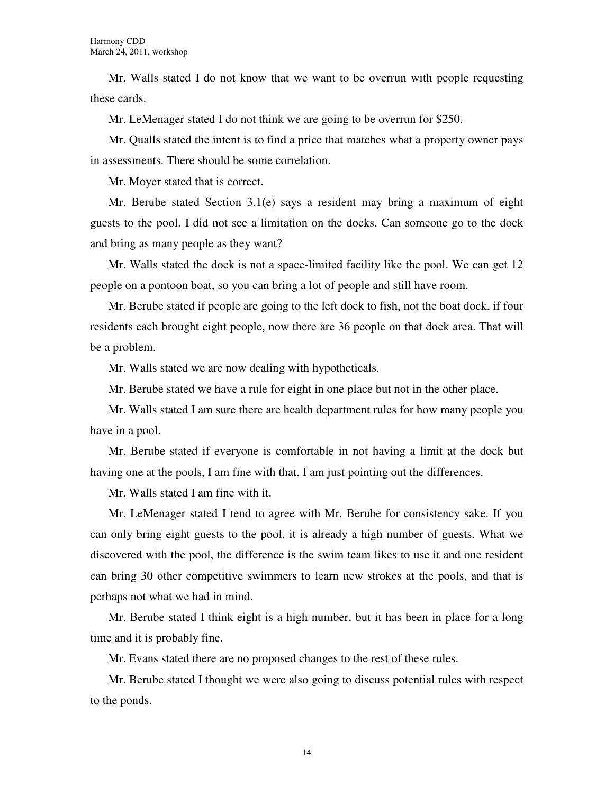Mr. Walls stated I do not know that we want to be overrun with people requesting these cards.

Mr. LeMenager stated I do not think we are going to be overrun for \$250.

Mr. Qualls stated the intent is to find a price that matches what a property owner pays in assessments. There should be some correlation.

Mr. Moyer stated that is correct.

Mr. Berube stated Section 3.1(e) says a resident may bring a maximum of eight guests to the pool. I did not see a limitation on the docks. Can someone go to the dock and bring as many people as they want?

Mr. Walls stated the dock is not a space-limited facility like the pool. We can get 12 people on a pontoon boat, so you can bring a lot of people and still have room.

Mr. Berube stated if people are going to the left dock to fish, not the boat dock, if four residents each brought eight people, now there are 36 people on that dock area. That will be a problem.

Mr. Walls stated we are now dealing with hypotheticals.

Mr. Berube stated we have a rule for eight in one place but not in the other place.

Mr. Walls stated I am sure there are health department rules for how many people you have in a pool.

Mr. Berube stated if everyone is comfortable in not having a limit at the dock but having one at the pools, I am fine with that. I am just pointing out the differences.

Mr. Walls stated I am fine with it.

Mr. LeMenager stated I tend to agree with Mr. Berube for consistency sake. If you can only bring eight guests to the pool, it is already a high number of guests. What we discovered with the pool, the difference is the swim team likes to use it and one resident can bring 30 other competitive swimmers to learn new strokes at the pools, and that is perhaps not what we had in mind.

Mr. Berube stated I think eight is a high number, but it has been in place for a long time and it is probably fine.

Mr. Evans stated there are no proposed changes to the rest of these rules.

Mr. Berube stated I thought we were also going to discuss potential rules with respect to the ponds.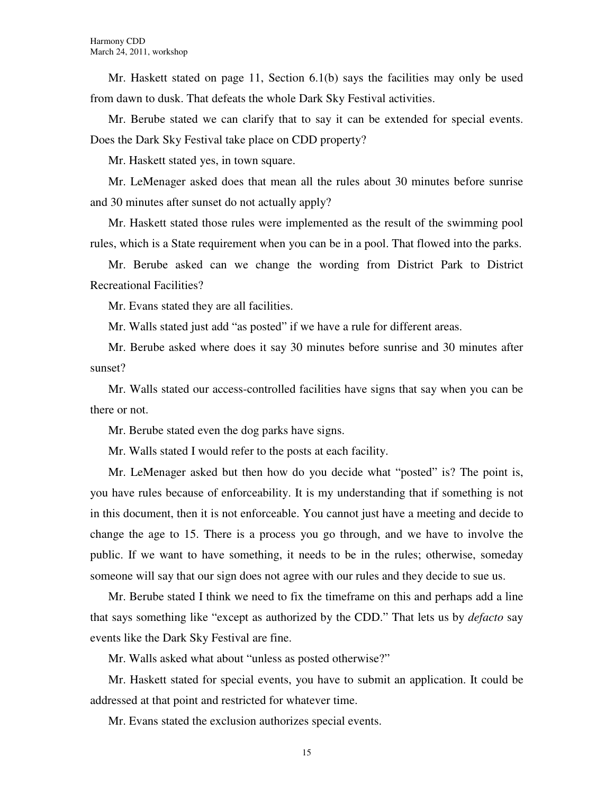Mr. Haskett stated on page 11, Section 6.1(b) says the facilities may only be used from dawn to dusk. That defeats the whole Dark Sky Festival activities.

Mr. Berube stated we can clarify that to say it can be extended for special events. Does the Dark Sky Festival take place on CDD property?

Mr. Haskett stated yes, in town square.

Mr. LeMenager asked does that mean all the rules about 30 minutes before sunrise and 30 minutes after sunset do not actually apply?

Mr. Haskett stated those rules were implemented as the result of the swimming pool rules, which is a State requirement when you can be in a pool. That flowed into the parks.

Mr. Berube asked can we change the wording from District Park to District Recreational Facilities?

Mr. Evans stated they are all facilities.

Mr. Walls stated just add "as posted" if we have a rule for different areas.

Mr. Berube asked where does it say 30 minutes before sunrise and 30 minutes after sunset?

Mr. Walls stated our access-controlled facilities have signs that say when you can be there or not.

Mr. Berube stated even the dog parks have signs.

Mr. Walls stated I would refer to the posts at each facility.

Mr. LeMenager asked but then how do you decide what "posted" is? The point is, you have rules because of enforceability. It is my understanding that if something is not in this document, then it is not enforceable. You cannot just have a meeting and decide to change the age to 15. There is a process you go through, and we have to involve the public. If we want to have something, it needs to be in the rules; otherwise, someday someone will say that our sign does not agree with our rules and they decide to sue us.

Mr. Berube stated I think we need to fix the timeframe on this and perhaps add a line that says something like "except as authorized by the CDD." That lets us by *defacto* say events like the Dark Sky Festival are fine.

Mr. Walls asked what about "unless as posted otherwise?"

Mr. Haskett stated for special events, you have to submit an application. It could be addressed at that point and restricted for whatever time.

Mr. Evans stated the exclusion authorizes special events.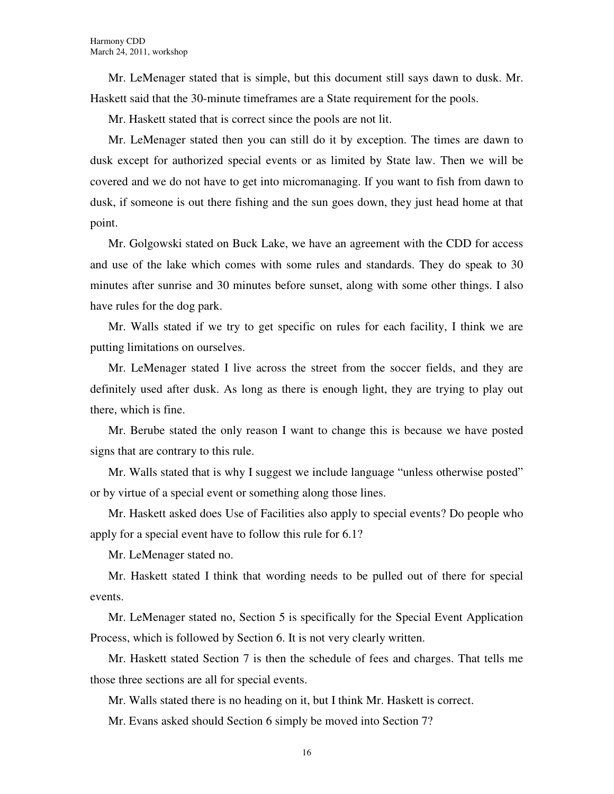Mr. LeMenager stated that is simple, but this document still says dawn to dusk. Mr. Haskett said that the 30-minute timeframes are a State requirement for the pools.

Mr. Haskett stated that is correct since the pools are not lit.

Mr. LeMenager stated then you can still do it by exception. The times are dawn to dusk except for authorized special events or as limited by State law. Then we will be covered and we do not have to get into micromanaging. If you want to fish from dawn to dusk, if someone is out there fishing and the sun goes down, they just head home at that point.

Mr. Golgowski stated on Buck Lake, we have an agreement with the CDD for access and use of the lake which comes with some rules and standards. They do speak to 30 minutes after sunrise and 30 minutes before sunset, along with some other things. I also have rules for the dog park.

Mr. Walls stated if we try to get specific on rules for each facility, I think we are putting limitations on ourselves.

Mr. LeMenager stated I live across the street from the soccer fields, and they are definitely used after dusk. As long as there is enough light, they are trying to play out there, which is fine.

Mr. Berube stated the only reason I want to change this is because we have posted signs that are contrary to this rule.

Mr. Walls stated that is why I suggest we include language "unless otherwise posted" or by virtue of a special event or something along those lines.

Mr. Haskett asked does Use of Facilities also apply to special events? Do people who apply for a special event have to follow this rule for 6.1?

Mr. LeMenager stated no.

Mr. Haskett stated I think that wording needs to be pulled out of there for special events.

Mr. LeMenager stated no, Section 5 is specifically for the Special Event Application Process, which is followed by Section 6. It is not very clearly written.

Mr. Haskett stated Section 7 is then the schedule of fees and charges. That tells me those three sections are all for special events.

Mr. Walls stated there is no heading on it, but I think Mr. Haskett is correct.

Mr. Evans asked should Section 6 simply be moved into Section 7?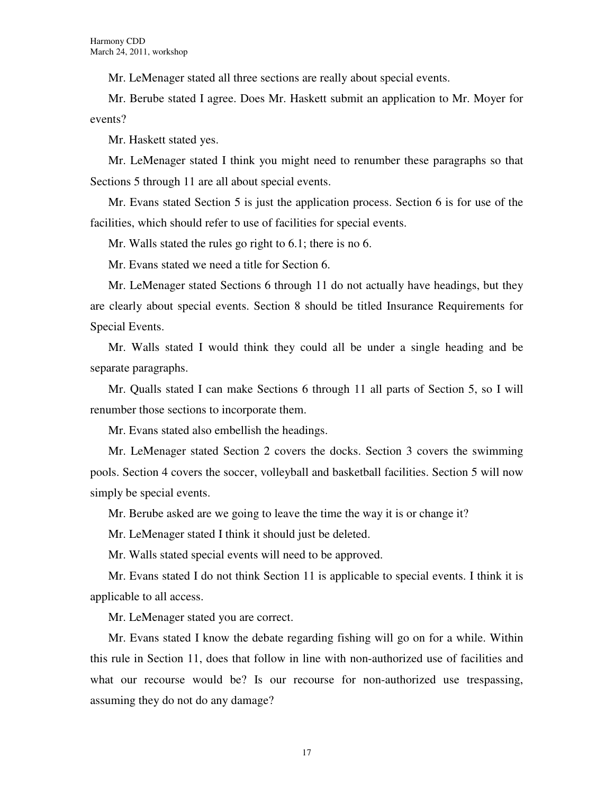Mr. LeMenager stated all three sections are really about special events.

Mr. Berube stated I agree. Does Mr. Haskett submit an application to Mr. Moyer for events?

Mr. Haskett stated yes.

Mr. LeMenager stated I think you might need to renumber these paragraphs so that Sections 5 through 11 are all about special events.

Mr. Evans stated Section 5 is just the application process. Section 6 is for use of the facilities, which should refer to use of facilities for special events.

Mr. Walls stated the rules go right to 6.1; there is no 6.

Mr. Evans stated we need a title for Section 6.

Mr. LeMenager stated Sections 6 through 11 do not actually have headings, but they are clearly about special events. Section 8 should be titled Insurance Requirements for Special Events.

Mr. Walls stated I would think they could all be under a single heading and be separate paragraphs.

Mr. Qualls stated I can make Sections 6 through 11 all parts of Section 5, so I will renumber those sections to incorporate them.

Mr. Evans stated also embellish the headings.

Mr. LeMenager stated Section 2 covers the docks. Section 3 covers the swimming pools. Section 4 covers the soccer, volleyball and basketball facilities. Section 5 will now simply be special events.

Mr. Berube asked are we going to leave the time the way it is or change it?

Mr. LeMenager stated I think it should just be deleted.

Mr. Walls stated special events will need to be approved.

Mr. Evans stated I do not think Section 11 is applicable to special events. I think it is applicable to all access.

Mr. LeMenager stated you are correct.

Mr. Evans stated I know the debate regarding fishing will go on for a while. Within this rule in Section 11, does that follow in line with non-authorized use of facilities and what our recourse would be? Is our recourse for non-authorized use trespassing, assuming they do not do any damage?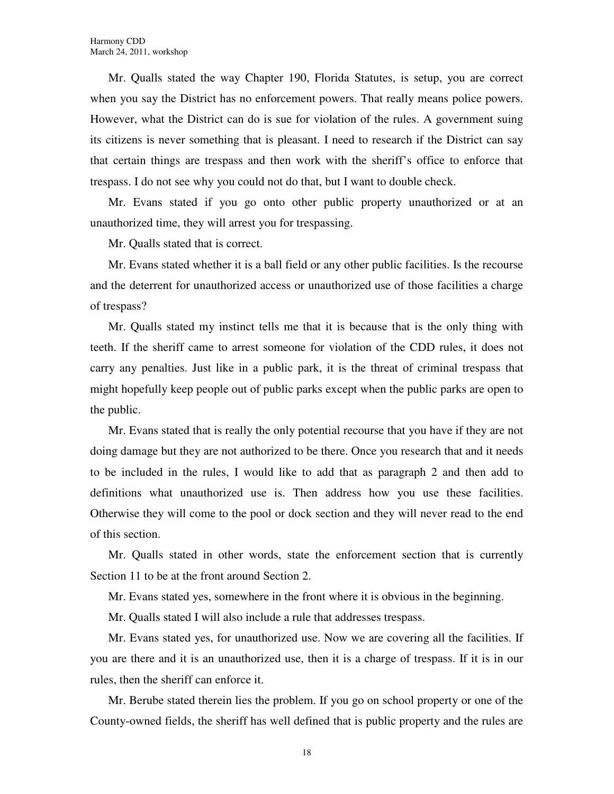Mr. Qualls stated the way Chapter 190, Florida Statutes, is setup, you are correct when you say the District has no enforcement powers. That really means police powers. However, what the District can do is sue for violation of the rules. A government suing its citizens is never something that is pleasant. I need to research if the District can say that certain things are trespass and then work with the sheriff's office to enforce that trespass. I do not see why you could not do that, but I want to double check.

Mr. Evans stated if you go onto other public property unauthorized or at an unauthorized time, they will arrest you for trespassing.

Mr. Qualls stated that is correct.

Mr. Evans stated whether it is a ball field or any other public facilities. Is the recourse and the deterrent for unauthorized access or unauthorized use of those facilities a charge of trespass?

Mr. Qualls stated my instinct tells me that it is because that is the only thing with teeth. If the sheriff came to arrest someone for violation of the CDD rules, it does not carry any penalties. Just like in a public park, it is the threat of criminal trespass that might hopefully keep people out of public parks except when the public parks are open to the public.

Mr. Evans stated that is really the only potential recourse that you have if they are not doing damage but they are not authorized to be there. Once you research that and it needs to be included in the rules, I would like to add that as paragraph 2 and then add to definitions what unauthorized use is. Then address how you use these facilities. Otherwise they will come to the pool or dock section and they will never read to the end of this section.

Mr. Qualls stated in other words, state the enforcement section that is currently Section 11 to be at the front around Section 2.

Mr. Evans stated yes, somewhere in the front where it is obvious in the beginning.

Mr. Qualls stated I will also include a rule that addresses trespass.

Mr. Evans stated yes, for unauthorized use. Now we are covering all the facilities. If you are there and it is an unauthorized use, then it is a charge of trespass. If it is in our rules, then the sheriff can enforce it.

Mr. Berube stated therein lies the problem. If you go on school property or one of the County-owned fields, the sheriff has well defined that is public property and the rules are

18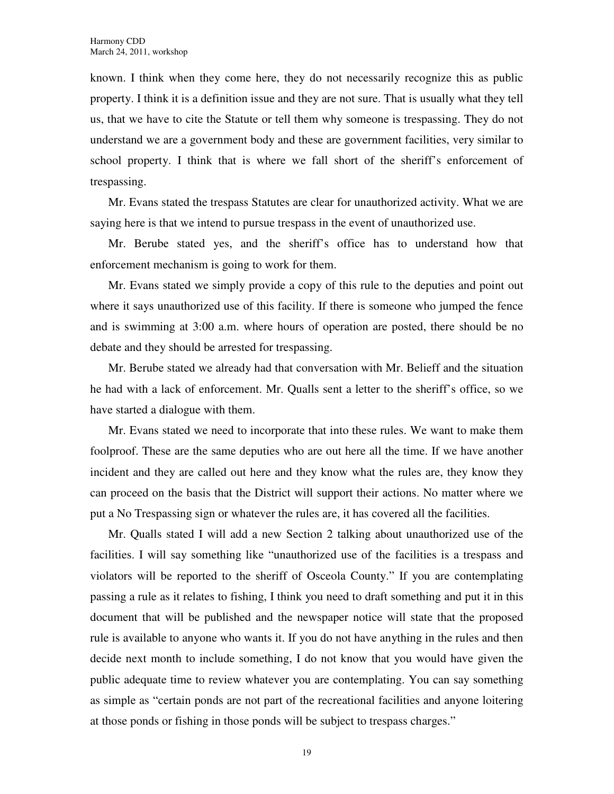known. I think when they come here, they do not necessarily recognize this as public property. I think it is a definition issue and they are not sure. That is usually what they tell us, that we have to cite the Statute or tell them why someone is trespassing. They do not understand we are a government body and these are government facilities, very similar to school property. I think that is where we fall short of the sheriff's enforcement of trespassing.

Mr. Evans stated the trespass Statutes are clear for unauthorized activity. What we are saying here is that we intend to pursue trespass in the event of unauthorized use.

Mr. Berube stated yes, and the sheriff's office has to understand how that enforcement mechanism is going to work for them.

Mr. Evans stated we simply provide a copy of this rule to the deputies and point out where it says unauthorized use of this facility. If there is someone who jumped the fence and is swimming at 3:00 a.m. where hours of operation are posted, there should be no debate and they should be arrested for trespassing.

Mr. Berube stated we already had that conversation with Mr. Belieff and the situation he had with a lack of enforcement. Mr. Qualls sent a letter to the sheriff's office, so we have started a dialogue with them.

Mr. Evans stated we need to incorporate that into these rules. We want to make them foolproof. These are the same deputies who are out here all the time. If we have another incident and they are called out here and they know what the rules are, they know they can proceed on the basis that the District will support their actions. No matter where we put a No Trespassing sign or whatever the rules are, it has covered all the facilities.

Mr. Qualls stated I will add a new Section 2 talking about unauthorized use of the facilities. I will say something like "unauthorized use of the facilities is a trespass and violators will be reported to the sheriff of Osceola County." If you are contemplating passing a rule as it relates to fishing, I think you need to draft something and put it in this document that will be published and the newspaper notice will state that the proposed rule is available to anyone who wants it. If you do not have anything in the rules and then decide next month to include something, I do not know that you would have given the public adequate time to review whatever you are contemplating. You can say something as simple as "certain ponds are not part of the recreational facilities and anyone loitering at those ponds or fishing in those ponds will be subject to trespass charges."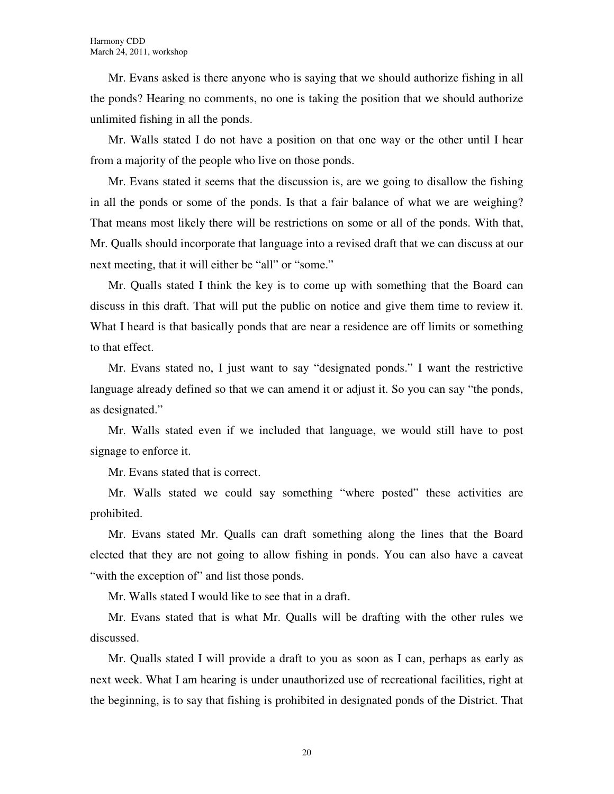Mr. Evans asked is there anyone who is saying that we should authorize fishing in all the ponds? Hearing no comments, no one is taking the position that we should authorize unlimited fishing in all the ponds.

Mr. Walls stated I do not have a position on that one way or the other until I hear from a majority of the people who live on those ponds.

Mr. Evans stated it seems that the discussion is, are we going to disallow the fishing in all the ponds or some of the ponds. Is that a fair balance of what we are weighing? That means most likely there will be restrictions on some or all of the ponds. With that, Mr. Qualls should incorporate that language into a revised draft that we can discuss at our next meeting, that it will either be "all" or "some."

Mr. Qualls stated I think the key is to come up with something that the Board can discuss in this draft. That will put the public on notice and give them time to review it. What I heard is that basically ponds that are near a residence are off limits or something to that effect.

Mr. Evans stated no, I just want to say "designated ponds." I want the restrictive language already defined so that we can amend it or adjust it. So you can say "the ponds, as designated."

Mr. Walls stated even if we included that language, we would still have to post signage to enforce it.

Mr. Evans stated that is correct.

Mr. Walls stated we could say something "where posted" these activities are prohibited.

Mr. Evans stated Mr. Qualls can draft something along the lines that the Board elected that they are not going to allow fishing in ponds. You can also have a caveat "with the exception of" and list those ponds.

Mr. Walls stated I would like to see that in a draft.

Mr. Evans stated that is what Mr. Qualls will be drafting with the other rules we discussed.

Mr. Qualls stated I will provide a draft to you as soon as I can, perhaps as early as next week. What I am hearing is under unauthorized use of recreational facilities, right at the beginning, is to say that fishing is prohibited in designated ponds of the District. That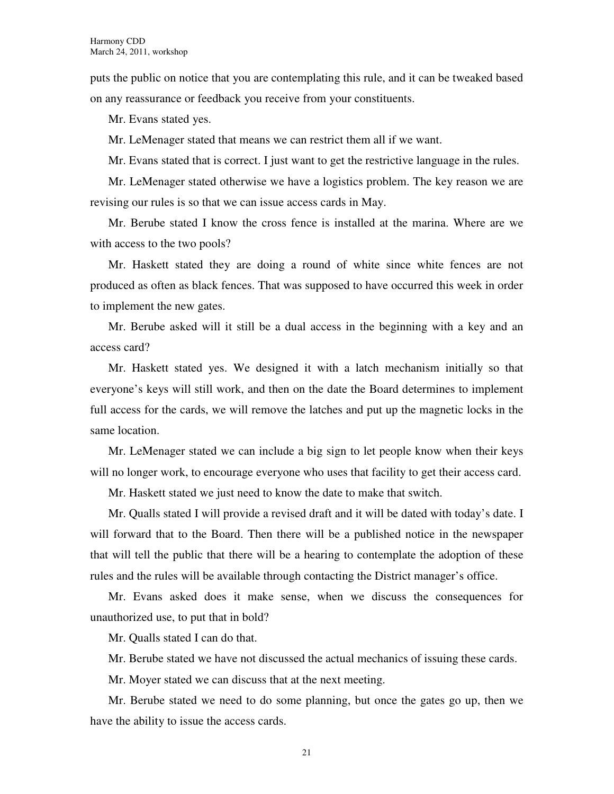puts the public on notice that you are contemplating this rule, and it can be tweaked based on any reassurance or feedback you receive from your constituents.

Mr. Evans stated yes.

Mr. LeMenager stated that means we can restrict them all if we want.

Mr. Evans stated that is correct. I just want to get the restrictive language in the rules.

Mr. LeMenager stated otherwise we have a logistics problem. The key reason we are revising our rules is so that we can issue access cards in May.

Mr. Berube stated I know the cross fence is installed at the marina. Where are we with access to the two pools?

Mr. Haskett stated they are doing a round of white since white fences are not produced as often as black fences. That was supposed to have occurred this week in order to implement the new gates.

Mr. Berube asked will it still be a dual access in the beginning with a key and an access card?

Mr. Haskett stated yes. We designed it with a latch mechanism initially so that everyone's keys will still work, and then on the date the Board determines to implement full access for the cards, we will remove the latches and put up the magnetic locks in the same location.

Mr. LeMenager stated we can include a big sign to let people know when their keys will no longer work, to encourage everyone who uses that facility to get their access card.

Mr. Haskett stated we just need to know the date to make that switch.

Mr. Qualls stated I will provide a revised draft and it will be dated with today's date. I will forward that to the Board. Then there will be a published notice in the newspaper that will tell the public that there will be a hearing to contemplate the adoption of these rules and the rules will be available through contacting the District manager's office.

Mr. Evans asked does it make sense, when we discuss the consequences for unauthorized use, to put that in bold?

Mr. Qualls stated I can do that.

Mr. Berube stated we have not discussed the actual mechanics of issuing these cards.

Mr. Moyer stated we can discuss that at the next meeting.

Mr. Berube stated we need to do some planning, but once the gates go up, then we have the ability to issue the access cards.

21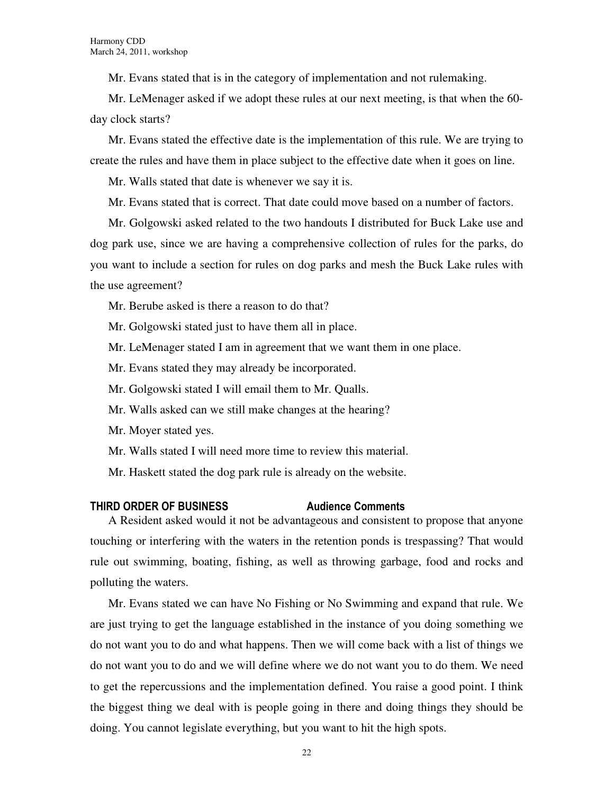Mr. Evans stated that is in the category of implementation and not rulemaking.

Mr. LeMenager asked if we adopt these rules at our next meeting, is that when the 60 day clock starts?

Mr. Evans stated the effective date is the implementation of this rule. We are trying to create the rules and have them in place subject to the effective date when it goes on line.

Mr. Walls stated that date is whenever we say it is.

Mr. Evans stated that is correct. That date could move based on a number of factors.

Mr. Golgowski asked related to the two handouts I distributed for Buck Lake use and dog park use, since we are having a comprehensive collection of rules for the parks, do you want to include a section for rules on dog parks and mesh the Buck Lake rules with the use agreement?

Mr. Berube asked is there a reason to do that?

Mr. Golgowski stated just to have them all in place.

Mr. LeMenager stated I am in agreement that we want them in one place.

Mr. Evans stated they may already be incorporated.

Mr. Golgowski stated I will email them to Mr. Qualls.

Mr. Walls asked can we still make changes at the hearing?

Mr. Moyer stated yes.

Mr. Walls stated I will need more time to review this material.

Mr. Haskett stated the dog park rule is already on the website.

### THIRD ORDER OF BUSINESS Audience Comments

A Resident asked would it not be advantageous and consistent to propose that anyone touching or interfering with the waters in the retention ponds is trespassing? That would rule out swimming, boating, fishing, as well as throwing garbage, food and rocks and polluting the waters.

Mr. Evans stated we can have No Fishing or No Swimming and expand that rule. We are just trying to get the language established in the instance of you doing something we do not want you to do and what happens. Then we will come back with a list of things we do not want you to do and we will define where we do not want you to do them. We need to get the repercussions and the implementation defined. You raise a good point. I think the biggest thing we deal with is people going in there and doing things they should be doing. You cannot legislate everything, but you want to hit the high spots.